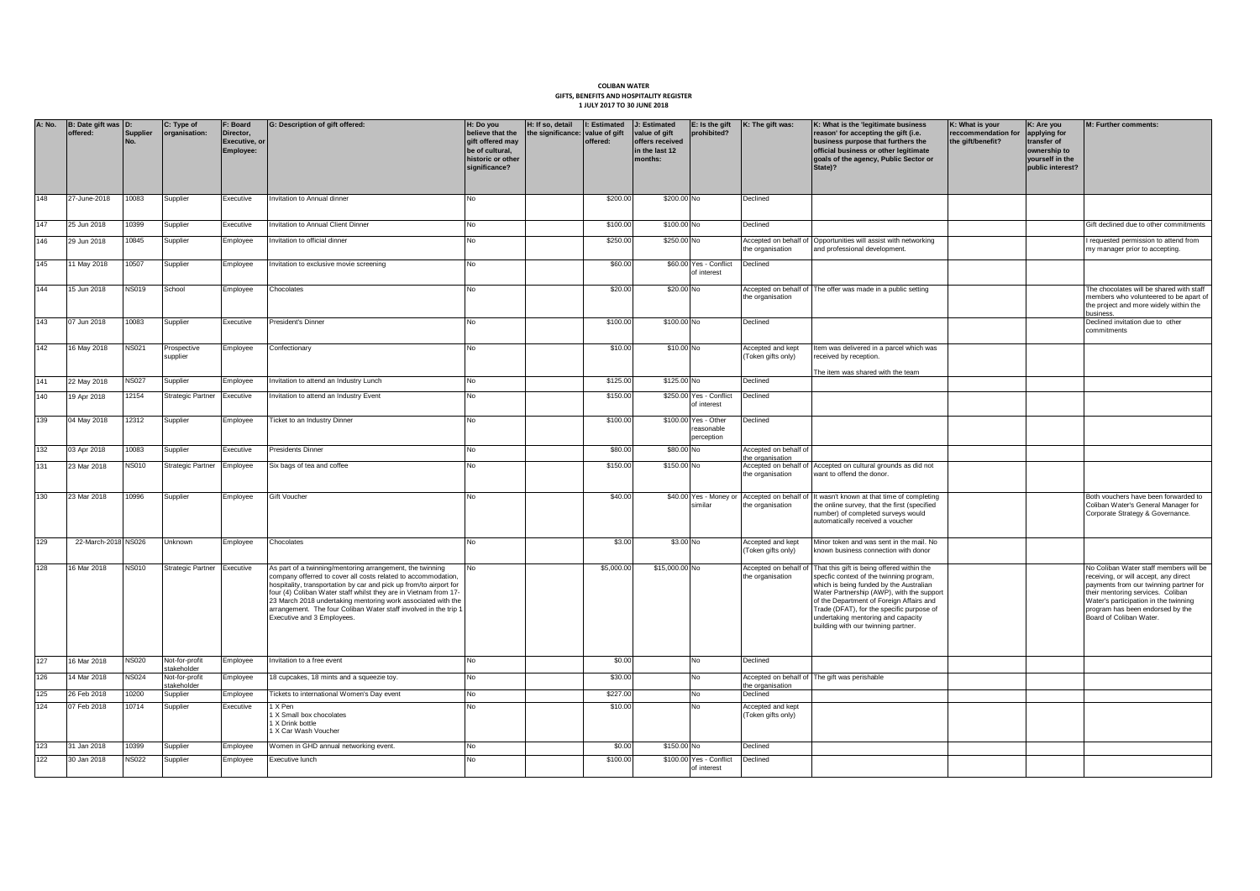## **COLIBAN WATER GIFTS, BENEFITS AND HOSPITALITY REGISTER 1 JULY 2017 TO 30 JUNE 2018**

| <b>A: No.</b> | B: Date gift was D:<br>offered: | <b>Supplier</b> | C: Type of<br>organisation:   | F: Board<br>Director,<br><b>Executive, or</b><br>Employee: | G: Description of gift offered:                                                                                                                                                                                                                                                                                                                                                                                                        | H: Do you<br>believe that the<br>gift offered may<br>be of cultural.<br>historic or other<br>significance? | H: If so, detail<br>the significance: value of gift | I: Estimated J: Estimated<br>offered: | value of gift<br>offers received<br>in the last 12<br>months: | E: Is the gift<br>prohibited?                   | K: The gift was:                          | K: What is the 'legitimate business<br>reason' for accepting the gift (i.e.<br>business purpose that furthers the<br>official business or other legitimate<br>goals of the agency, Public Sector or<br>State)?                                                                                                                                       | K: What is your<br>reccommendation for<br>the gift/benefit? | K: Are you<br>applying for<br>transfer of<br>ownership to<br>vourself in the<br>public interest? | M: Further comments:                                                                                                                                                                                                                                                   |
|---------------|---------------------------------|-----------------|-------------------------------|------------------------------------------------------------|----------------------------------------------------------------------------------------------------------------------------------------------------------------------------------------------------------------------------------------------------------------------------------------------------------------------------------------------------------------------------------------------------------------------------------------|------------------------------------------------------------------------------------------------------------|-----------------------------------------------------|---------------------------------------|---------------------------------------------------------------|-------------------------------------------------|-------------------------------------------|------------------------------------------------------------------------------------------------------------------------------------------------------------------------------------------------------------------------------------------------------------------------------------------------------------------------------------------------------|-------------------------------------------------------------|--------------------------------------------------------------------------------------------------|------------------------------------------------------------------------------------------------------------------------------------------------------------------------------------------------------------------------------------------------------------------------|
| 148           | 27-June-2018                    | 0083            | Supplier                      | Executive                                                  | nvitation to Annual dinner                                                                                                                                                                                                                                                                                                                                                                                                             | No.                                                                                                        |                                                     | \$200.00                              | \$200.00 No                                                   |                                                 | Declined                                  |                                                                                                                                                                                                                                                                                                                                                      |                                                             |                                                                                                  |                                                                                                                                                                                                                                                                        |
| 147           | 25 Jun 2018                     | 0399            | Supplier                      | Executive                                                  | nvitation to Annual Client Dinner                                                                                                                                                                                                                                                                                                                                                                                                      | No                                                                                                         |                                                     | \$100.00                              | \$100.00 No                                                   |                                                 | Declined                                  |                                                                                                                                                                                                                                                                                                                                                      |                                                             |                                                                                                  | Gift declined due to other commitments                                                                                                                                                                                                                                 |
| 146           | 29 Jun 2018                     | 0845            | Supplier                      | Employee                                                   | nvitation to official dinner                                                                                                                                                                                                                                                                                                                                                                                                           | No                                                                                                         |                                                     | \$250.00                              | \$250.00 No                                                   |                                                 | the organisation                          | Accepted on behalf of Opportunities will assist with networking<br>and professional development.                                                                                                                                                                                                                                                     |                                                             |                                                                                                  | requested permission to attend from<br>my manager prior to accepting.                                                                                                                                                                                                  |
| 145           | 1 May 2018                      | 10507           | Supplier                      | Employee                                                   | nvitation to exclusive movie screening                                                                                                                                                                                                                                                                                                                                                                                                 | No                                                                                                         |                                                     | \$60.00                               |                                                               | \$60.00 Yes - Conflict<br>of interest           | Declined                                  |                                                                                                                                                                                                                                                                                                                                                      |                                                             |                                                                                                  |                                                                                                                                                                                                                                                                        |
| 144           | 15 Jun 2018                     | <b>NS019</b>    | School                        | Employee                                                   | Chocolates                                                                                                                                                                                                                                                                                                                                                                                                                             | No                                                                                                         |                                                     | \$20.00                               | \$20.00 No                                                    |                                                 | the organisation                          | Accepted on behalf of The offer was made in a public setting                                                                                                                                                                                                                                                                                         |                                                             |                                                                                                  | The chocolates will be shared with staff<br>members who volunteered to be apart of<br>the project and more widely within the<br>business.                                                                                                                              |
| 143           | 07 Jun 2018                     | 10083           | Supplier                      | Executive                                                  | President's Dinner                                                                                                                                                                                                                                                                                                                                                                                                                     | <b>No</b>                                                                                                  |                                                     | \$100.00                              | \$100.00 No                                                   |                                                 | Declined                                  |                                                                                                                                                                                                                                                                                                                                                      |                                                             |                                                                                                  | Declined invitation due to other<br>commitments                                                                                                                                                                                                                        |
| 142           | 16 May 2018                     | <b>NS021</b>    | Prospective<br>supplier       | Employee                                                   | Confectionary                                                                                                                                                                                                                                                                                                                                                                                                                          | No                                                                                                         |                                                     | \$10.00                               | \$10.00 No                                                    |                                                 | Accepted and kept<br>(Token gifts only)   | Item was delivered in a parcel which was<br>received by reception.                                                                                                                                                                                                                                                                                   |                                                             |                                                                                                  |                                                                                                                                                                                                                                                                        |
| 141           | 22 May 2018                     | <b>NS027</b>    | Supplier                      | Employee                                                   | nvitation to attend an Industry Lunch                                                                                                                                                                                                                                                                                                                                                                                                  | No                                                                                                         |                                                     | \$125.0                               | \$125.00 No                                                   |                                                 | Declined                                  | The item was shared with the team                                                                                                                                                                                                                                                                                                                    |                                                             |                                                                                                  |                                                                                                                                                                                                                                                                        |
| 140           | 19 Apr 2018                     | 12154           | <b>Strategic Partner</b>      | Executive                                                  | nvitation to attend an Industry Event                                                                                                                                                                                                                                                                                                                                                                                                  | No                                                                                                         |                                                     | \$150.00                              |                                                               | \$250.00 Yes - Conflict<br>of interest          | Declined                                  |                                                                                                                                                                                                                                                                                                                                                      |                                                             |                                                                                                  |                                                                                                                                                                                                                                                                        |
| 139           | 04 May 2018                     | 12312           | Supplier                      | Employee                                                   | <b>Ticket to an Industry Dinner</b>                                                                                                                                                                                                                                                                                                                                                                                                    | No                                                                                                         |                                                     | \$100.00                              |                                                               | \$100.00 Yes - Other<br>easonable<br>perception | Declined                                  |                                                                                                                                                                                                                                                                                                                                                      |                                                             |                                                                                                  |                                                                                                                                                                                                                                                                        |
| 132           | 03 Apr 2018                     | 10083           | Supplier                      | Executive                                                  | Presidents Dinner                                                                                                                                                                                                                                                                                                                                                                                                                      | No                                                                                                         |                                                     | \$80.00                               | \$80.00 No                                                    |                                                 | Accepted on behalf of<br>the organisation |                                                                                                                                                                                                                                                                                                                                                      |                                                             |                                                                                                  |                                                                                                                                                                                                                                                                        |
| 131           | 23 Mar 2018                     | <b>NS010</b>    | Strategic Partner             | Employee                                                   | Six bags of tea and coffee                                                                                                                                                                                                                                                                                                                                                                                                             | No                                                                                                         |                                                     | \$150.00                              | \$150.00 No                                                   |                                                 | the organisation                          | Accepted on behalf of Accepted on cultural grounds as did not<br>want to offend the donor.                                                                                                                                                                                                                                                           |                                                             |                                                                                                  |                                                                                                                                                                                                                                                                        |
| 130           | 23 Mar 2018                     | 10996           | Supplier                      | Employee                                                   | Gift Voucher                                                                                                                                                                                                                                                                                                                                                                                                                           | No                                                                                                         |                                                     | \$40.00                               |                                                               | imilai                                          | the organisation                          | \$40.00 Yes - Money or Accepted on behalf of It wasn't known at that time of completing<br>the online survey, that the first (specified<br>number) of completed surveys would<br>automatically received a voucher                                                                                                                                    |                                                             |                                                                                                  | Both vouchers have been forwarded to<br>Coliban Water's General Manager for<br>Corporate Strategy & Governance.                                                                                                                                                        |
| 129           | 22-March-2018 NS026             |                 | Unknown                       | <i><u><b>Employee</b></u></i>                              | Chocolates                                                                                                                                                                                                                                                                                                                                                                                                                             | No                                                                                                         |                                                     | \$3.00                                | \$3.00 No                                                     |                                                 | Accepted and kept<br>(Token gifts only)   | Minor token and was sent in the mail. No<br>known business connection with donor                                                                                                                                                                                                                                                                     |                                                             |                                                                                                  |                                                                                                                                                                                                                                                                        |
| 128           | 16 Mar 2018                     | <b>NS010</b>    | Strategic Partner Executive   |                                                            | As part of a twinning/mentoring arrangement, the twinning<br>company offerred to cover all costs related to accommodation,<br>hospitality, transportation by car and pick up from/to airport for<br>four (4) Coliban Water staff whilst they are in Vietnam from 17-<br>23 March 2018 undertaking mentoring work associated with the<br>arrangement. The four Coliban Water staff involved in the trip 1<br>Executive and 3 Employees. | No                                                                                                         |                                                     | \$5,000.00                            | \$15,000.00 No                                                |                                                 | Accepted on behalf of<br>the organisation | That this gift is being offered within the<br>specfic context of the twinning program,<br>which is being funded by the Australian<br>Water Partnership (AWP), with the support<br>of the Department of Foreign Affairs and<br>Trade (DFAT), for the specific purpose of<br>undertaking mentoring and capacity<br>building with our twinning partner. |                                                             |                                                                                                  | No Coliban Water staff members will be<br>receiving, or will accept, any direct<br>payments from our twinning partner for<br>their mentoring services. Coliban<br>Water's participation in the twinning<br>program has been endorsed by the<br>Board of Coliban Water. |
| 127           | 16 Mar 2018                     | NS020           | Not-for-profit<br>stakeholder | mployee                                                    | nvitation to a free event                                                                                                                                                                                                                                                                                                                                                                                                              | No                                                                                                         |                                                     | \$0.00                                |                                                               | No                                              | Declined                                  |                                                                                                                                                                                                                                                                                                                                                      |                                                             |                                                                                                  |                                                                                                                                                                                                                                                                        |
| 126           | 4 Mar 2018                      | <b>NS024</b>    | Not-for-profit<br>takeholde   | Employee                                                   | 18 cupcakes, 18 mints and a squeezie toy.                                                                                                                                                                                                                                                                                                                                                                                              | No                                                                                                         |                                                     | \$30.00                               |                                                               | No.                                             | the organisation                          | Accepted on behalf of The gift was perishable                                                                                                                                                                                                                                                                                                        |                                                             |                                                                                                  |                                                                                                                                                                                                                                                                        |
| 125           | 26 Feb 2018                     | 10200           | Supplier                      | Employee                                                   | Tickets to international Women's Day event                                                                                                                                                                                                                                                                                                                                                                                             | No                                                                                                         |                                                     | \$227.0                               |                                                               | No                                              | Declined                                  |                                                                                                                                                                                                                                                                                                                                                      |                                                             |                                                                                                  |                                                                                                                                                                                                                                                                        |
| 124           | 07 Feb 2018                     | 10714           | Supplier                      | Executive                                                  | 1 X Pen<br>1 X Small box chocolates<br>1 X Drink bottle<br>1 X Car Wash Voucher                                                                                                                                                                                                                                                                                                                                                        | No                                                                                                         |                                                     | \$10.00                               |                                                               | No                                              | Accepted and kept<br>(Token gifts only)   |                                                                                                                                                                                                                                                                                                                                                      |                                                             |                                                                                                  |                                                                                                                                                                                                                                                                        |
| 123           | 31 Jan 2018                     | 10399           | Supplier                      | Employee                                                   | Women in GHD annual networking event.                                                                                                                                                                                                                                                                                                                                                                                                  | No                                                                                                         |                                                     | \$0.00                                | \$150.00 No                                                   |                                                 | Declined                                  |                                                                                                                                                                                                                                                                                                                                                      |                                                             |                                                                                                  |                                                                                                                                                                                                                                                                        |
| 122           | 30 Jan 2018                     | <b>NS022</b>    | Supplier                      | Employee                                                   | Executive lunch                                                                                                                                                                                                                                                                                                                                                                                                                        | <b>No</b>                                                                                                  |                                                     | \$100.00                              |                                                               | \$100.00 Yes - Conflict<br>of interest          | Declined                                  |                                                                                                                                                                                                                                                                                                                                                      |                                                             |                                                                                                  |                                                                                                                                                                                                                                                                        |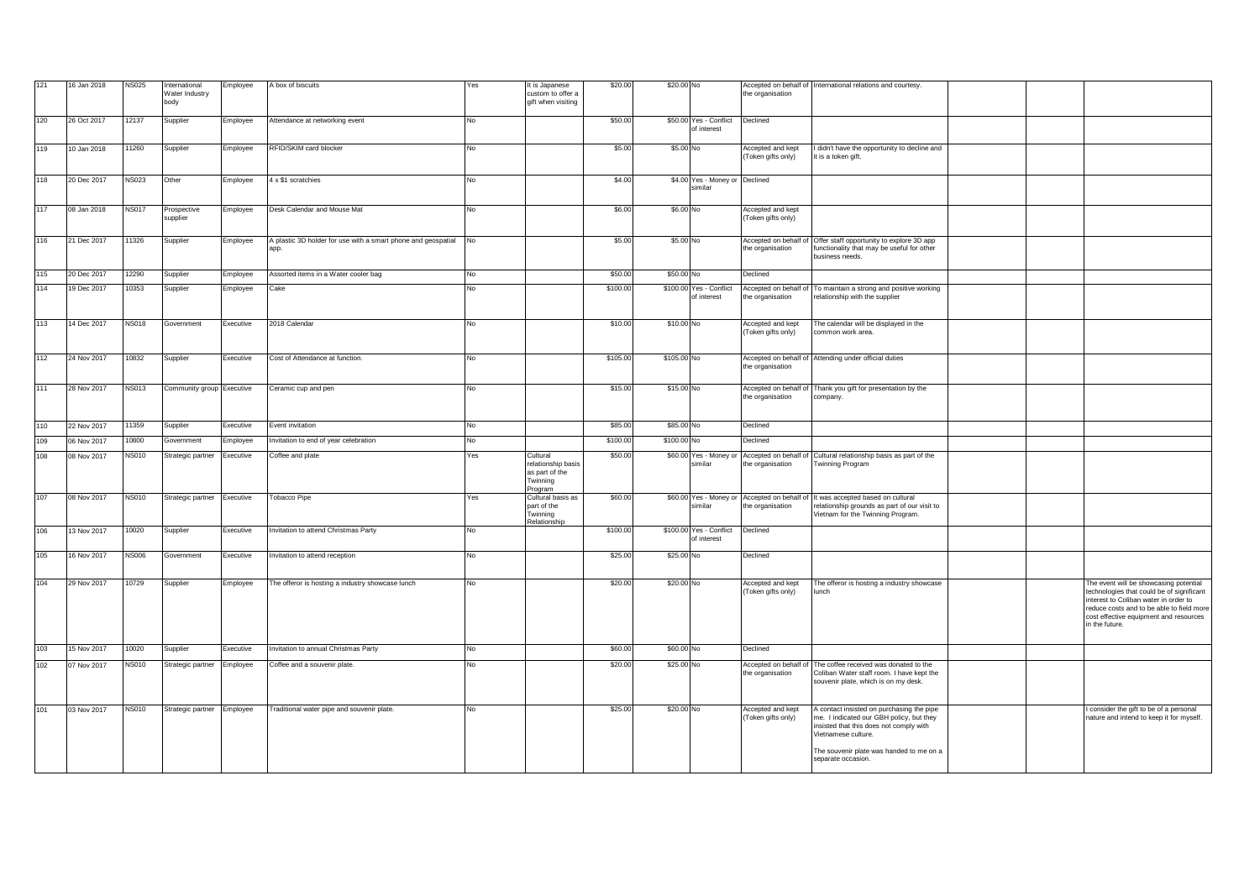| 121 | 16 Jan 2018 | <b>NS025</b> | International<br>Water Industry<br>body | Employee  | A box of biscuits                                                        | Yes | It is Japanese<br>custom to offer a<br>jift when visiting               | \$20.00  | \$20.00 No  |                                           | the organisation                               | Accepted on behalf of International relations and courtesy                                                                                                                                                              |  |                                                                                                                                                                                                                                       |
|-----|-------------|--------------|-----------------------------------------|-----------|--------------------------------------------------------------------------|-----|-------------------------------------------------------------------------|----------|-------------|-------------------------------------------|------------------------------------------------|-------------------------------------------------------------------------------------------------------------------------------------------------------------------------------------------------------------------------|--|---------------------------------------------------------------------------------------------------------------------------------------------------------------------------------------------------------------------------------------|
| 120 | 26 Oct 2017 | 12137        | Supplier                                | Employee  | Attendance at networking event                                           | No  |                                                                         | \$50.00  |             | \$50.00 Yes - Conflict<br>of interest     | Declined                                       |                                                                                                                                                                                                                         |  |                                                                                                                                                                                                                                       |
| 119 | 10 Jan 2018 | 11260        | Supplier                                | Employee  | RFID/SKIM card blocker                                                   | No  |                                                                         | \$5.00   | \$5.00 No   |                                           | <b>Accepted and kept</b><br>(Token gifts only) | didn't have the opportunity to decline and<br>it is a token gift.                                                                                                                                                       |  |                                                                                                                                                                                                                                       |
| 118 | 20 Dec 2017 | <b>NS023</b> | Other                                   | Employee  | 4 x \$1 scratchies                                                       | No  |                                                                         | \$4.00   |             | \$4.00 Yes - Money or Declined<br>similar |                                                |                                                                                                                                                                                                                         |  |                                                                                                                                                                                                                                       |
| 117 | 08 Jan 2018 | <b>NS017</b> | Prospective<br>supplier                 | Employee  | Desk Calendar and Mouse Mat                                              | No  |                                                                         | \$6.00   | \$6.00 No   |                                           | Accepted and kept<br>Token gifts only)         |                                                                                                                                                                                                                         |  |                                                                                                                                                                                                                                       |
| 116 | 21 Dec 2017 | 11326        | Supplier                                | Employee  | A plastic 3D holder for use with a smart phone and geospatial No<br>app. |     |                                                                         | \$5.00   | \$5.00 No   |                                           | Accepted on behalf of<br>the organisation      | Offer staff opportunity to explore 3D app<br>unctionality that may be useful for other<br>pusiness needs.                                                                                                               |  |                                                                                                                                                                                                                                       |
| 115 | 20 Dec 2017 | 12290        | Supplier                                | Employee  | Assorted items in a Water cooler bag                                     | No  |                                                                         | \$50.00  | \$50.00 No  |                                           | Declined                                       |                                                                                                                                                                                                                         |  |                                                                                                                                                                                                                                       |
| 114 | 19 Dec 2017 | 10353        | Supplier                                | Employee  | Cake                                                                     | No  |                                                                         | \$100.00 | \$100.00    | Yes - Conflict<br>of interest             | Accepted on behalf of<br>the organisation      | To maintain a strong and positive working<br>relationship with the supplier                                                                                                                                             |  |                                                                                                                                                                                                                                       |
| 113 | 14 Dec 2017 | <b>NS018</b> | Government                              | Executive | 2018 Calendar                                                            | No  |                                                                         | \$10.00  | \$10.00 No  |                                           | <b>Accepted and kept</b><br>(Token gifts only) | The calendar will be displayed in the<br>common work area.                                                                                                                                                              |  |                                                                                                                                                                                                                                       |
| 112 | 24 Nov 2017 | 10832        | Supplier                                | Executive | Cost of Attendance at function.                                          | No  |                                                                         | \$105.00 | \$105.00 No |                                           | the organisation                               | Accepted on behalf of Attending under official duties                                                                                                                                                                   |  |                                                                                                                                                                                                                                       |
| 111 | 28 Nov 2017 | <b>NS013</b> | Community group Executive               |           | Ceramic cup and pen                                                      | No  |                                                                         | \$15.00  | \$15.00 No  |                                           | Accepted on behalf of<br>the organisation      | Thank you gift for presentation by the<br>company.                                                                                                                                                                      |  |                                                                                                                                                                                                                                       |
| 110 | 22 Nov 2017 | 11359        | Supplier                                | Executive | Event invitation                                                         | No  |                                                                         | \$85.00  | \$85.00 No  |                                           | Declined                                       |                                                                                                                                                                                                                         |  |                                                                                                                                                                                                                                       |
| 109 | 06 Nov 2017 | 10800        | Government                              | Employee  | nvitation to end of year celebration                                     | No  |                                                                         | \$100.00 | \$100.00 No |                                           | Declined                                       |                                                                                                                                                                                                                         |  |                                                                                                                                                                                                                                       |
| 108 | 08 Nov 2017 | <b>NS010</b> | Strategic partner                       | Executive | Coffee and plate                                                         | Yes | Cultural<br>relationship basis<br>as part of the<br>Twinning<br>Program | \$50.00  |             | \$60.00 Yes - Money or<br>similar         | Accepted on behalf of<br>the organisation      | Cultural relationship basis as part of the<br>Twinning Program                                                                                                                                                          |  |                                                                                                                                                                                                                                       |
| 107 | 08 Nov 2017 | <b>NS010</b> | Strategic partner Executive             |           | <b>Tobacco Pipe</b>                                                      | Yes | Cultural basis as<br>part of the<br><b>Twinning</b><br>telationship     | \$60.00  |             | \$60.00 Yes - Money or<br>similar         | Accepted on behalf of<br>he organisation       | It was accepted based on cultural<br>relationship grounds as part of our visit to<br>Vietnam for the Twinning Program.                                                                                                  |  |                                                                                                                                                                                                                                       |
| 106 | 13 Nov 2017 | 10020        | Supplier                                | Executive | Invitation to attend Christmas Party                                     | No  |                                                                         | \$100.00 |             | \$100.00 Yes - Conflict<br>of interest    | Declined                                       |                                                                                                                                                                                                                         |  |                                                                                                                                                                                                                                       |
| 105 | 16 Nov 2017 | <b>NS006</b> | Government                              | Executive | nvitation to attend reception                                            | No  |                                                                         | \$25.00  | \$25.00 No  |                                           | Declined                                       |                                                                                                                                                                                                                         |  |                                                                                                                                                                                                                                       |
| 104 | 29 Nov 2017 | 10729        | Supplier                                | Employee  | The offeror is hosting a industry showcase lunch                         | No  |                                                                         | \$20.00  | \$20.00 No  |                                           | Accepted and kept<br>(Token gifts only)        | The offeror is hosting a industry showcase<br>lunch                                                                                                                                                                     |  | The event will be showcasing potential<br>technologies that could be of significant<br>interest to Coliban water in order to<br>reduce costs and to be able to field more<br>cost effective equipment and resources<br>in the future. |
| 103 | 15 Nov 2017 | 10020        | Supplier                                | Executive | Invitation to annual Christmas Party                                     | No  |                                                                         | \$60.00  | \$60.00 No  |                                           | Declined                                       |                                                                                                                                                                                                                         |  |                                                                                                                                                                                                                                       |
| 102 | 07 Nov 2017 | <b>NS010</b> | Strategic partner Employee              |           | Coffee and a souvenir plate.                                             | No  |                                                                         | \$20.00  | \$25.00 No  |                                           | Accepted on behalf of<br>the organisation      | The coffee received was donated to the<br>Coliban Water staff room. I have kept the<br>souvenir plate, which is on my desk.                                                                                             |  |                                                                                                                                                                                                                                       |
| 101 | 03 Nov 2017 | <b>NS010</b> | Strategic partner Employee              |           | Traditional water pipe and souvenir plate.                               | No  |                                                                         | \$25.00  | \$20.00 No  |                                           | Accepted and kept<br>(Token gifts only)        | contact insisted on purchasing the pipe<br>ne. I indicated our GBH policy, but they<br>insisted that this does not comply with<br>Vietnamese culture.<br>The souvenir plate was handed to me on a<br>separate occasion. |  | consider the gift to be of a personal<br>nature and intend to keep it for myself.                                                                                                                                                     |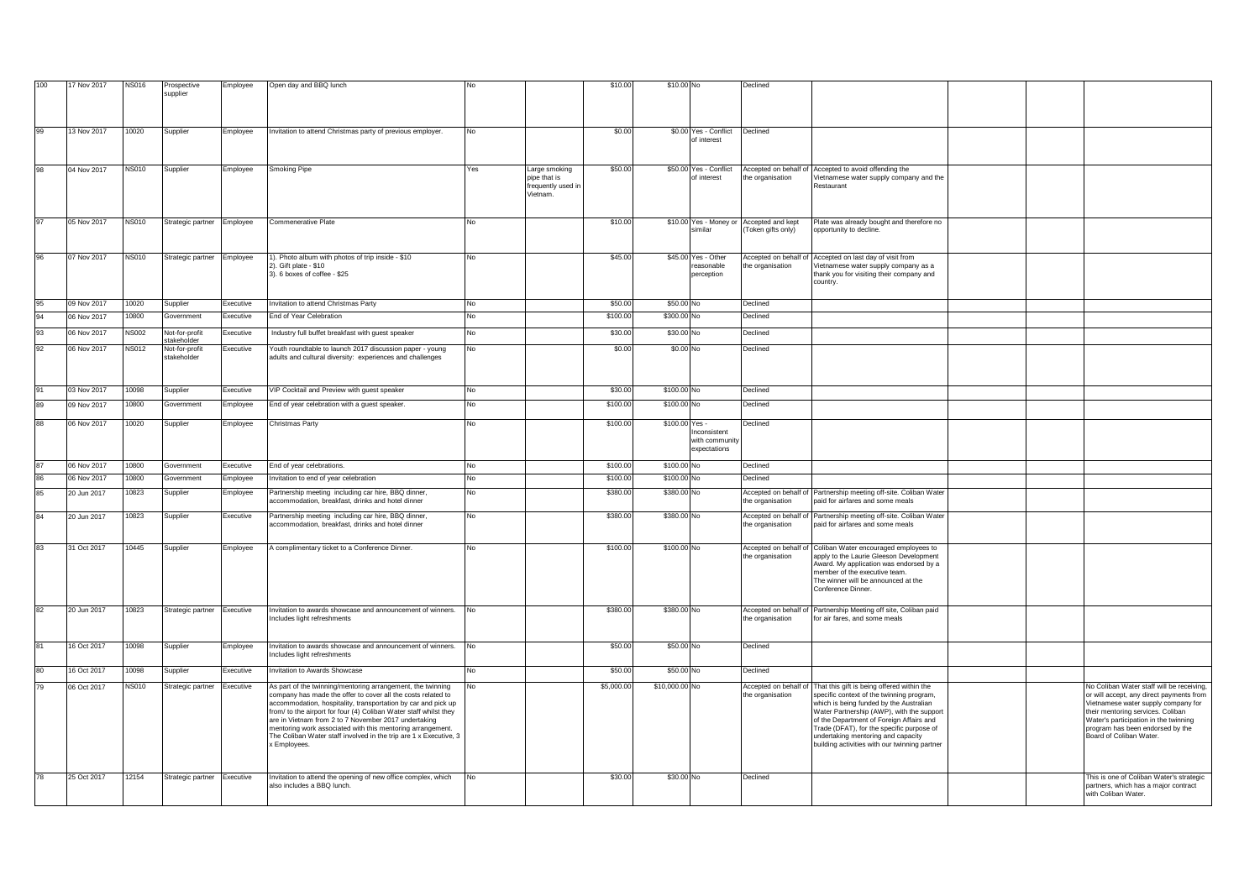| 100          |             |              |                                             |           |                                                                                                                                                                                                                                                                                                                                                                                                                                                                              |     |                                                                 | \$10.00    | \$10.00 No     |                                                        | Declined                                                      |                                                                                                                                                                                                                                                                                                                                                                |  |                                                                                                                                                                                                                                                                           |
|--------------|-------------|--------------|---------------------------------------------|-----------|------------------------------------------------------------------------------------------------------------------------------------------------------------------------------------------------------------------------------------------------------------------------------------------------------------------------------------------------------------------------------------------------------------------------------------------------------------------------------|-----|-----------------------------------------------------------------|------------|----------------|--------------------------------------------------------|---------------------------------------------------------------|----------------------------------------------------------------------------------------------------------------------------------------------------------------------------------------------------------------------------------------------------------------------------------------------------------------------------------------------------------------|--|---------------------------------------------------------------------------------------------------------------------------------------------------------------------------------------------------------------------------------------------------------------------------|
|              | 17 Nov 2017 | <b>NS016</b> | Prospective<br>supplier                     | Employee  | Open day and BBQ lunch                                                                                                                                                                                                                                                                                                                                                                                                                                                       |     |                                                                 |            |                |                                                        |                                                               |                                                                                                                                                                                                                                                                                                                                                                |  |                                                                                                                                                                                                                                                                           |
|              |             |              |                                             |           |                                                                                                                                                                                                                                                                                                                                                                                                                                                                              |     |                                                                 |            |                |                                                        |                                                               |                                                                                                                                                                                                                                                                                                                                                                |  |                                                                                                                                                                                                                                                                           |
| 99           | 13 Nov 2017 | 10020        | Supplier                                    | Employee  | Invitation to attend Christmas party of previous employer.                                                                                                                                                                                                                                                                                                                                                                                                                   | No  |                                                                 | \$0.00     |                | \$0.00 Yes - Conflict<br>of interest                   | Declined                                                      |                                                                                                                                                                                                                                                                                                                                                                |  |                                                                                                                                                                                                                                                                           |
| 98           | 04 Nov 2017 | NS010        | Supplier                                    | Employee  | Smoking Pipe                                                                                                                                                                                                                                                                                                                                                                                                                                                                 | Yes | Large smoking<br>pipe that is<br>frequently used in<br>/ietnam. | \$50.00    |                | \$50.00 Yes - Conflict<br>of interest                  | Accepted on behalf of<br>the organisation                     | Accepted to avoid offending the<br>Vietnamese water supply company and the<br>Restaurant                                                                                                                                                                                                                                                                       |  |                                                                                                                                                                                                                                                                           |
|              | 05 Nov 2017 | <b>NS010</b> | Strategic partner Employee                  |           | Commenerative Plate                                                                                                                                                                                                                                                                                                                                                                                                                                                          | No  |                                                                 | \$10.00    |                | similar                                                | \$10.00 Yes - Money or Accepted and kept<br>Token gifts only) | Plate was already bought and therefore no<br>opportunity to decline.                                                                                                                                                                                                                                                                                           |  |                                                                                                                                                                                                                                                                           |
| 96           | 07 Nov 2017 | <b>NS010</b> | Strategic partner Employee                  |           | 1). Photo album with photos of trip inside - \$10<br>2). Gift plate - \$10<br>3). 6 boxes of coffee - \$25                                                                                                                                                                                                                                                                                                                                                                   | No  |                                                                 | \$45.00    |                | \$45.00 Yes - Other<br>reasonable<br>perception        | Accepted on behalf of<br>the organisation                     | Accepted on last day of visit from<br>Vietnamese water supply company as a<br>thank you for visiting their company and<br>country.                                                                                                                                                                                                                             |  |                                                                                                                                                                                                                                                                           |
|              | 09 Nov 2017 | 10020        | Supplier                                    | Executive | nvitation to attend Christmas Party                                                                                                                                                                                                                                                                                                                                                                                                                                          | No  |                                                                 | \$50.00    | \$50.00 No     |                                                        | Declined                                                      |                                                                                                                                                                                                                                                                                                                                                                |  |                                                                                                                                                                                                                                                                           |
| $Q_{\Delta}$ | 06 Nov 2017 | 10800        | Government                                  | Executive | End of Year Celebration                                                                                                                                                                                                                                                                                                                                                                                                                                                      | No  |                                                                 | \$100.00   | \$300.00       | No                                                     | Declined                                                      |                                                                                                                                                                                                                                                                                                                                                                |  |                                                                                                                                                                                                                                                                           |
| 93           | 06 Nov 2017 | <b>NS002</b> | Not-for-profit                              | Executive | Industry full buffet breakfast with guest speaker                                                                                                                                                                                                                                                                                                                                                                                                                            | No  |                                                                 | \$30.00    | \$30.00 No     |                                                        | Declined                                                      |                                                                                                                                                                                                                                                                                                                                                                |  |                                                                                                                                                                                                                                                                           |
|              | 06 Nov 2017 | <b>NS012</b> | takeholder<br>Not-for-profit<br>stakeholder | Executive | Youth roundtable to launch 2017 discussion paper - young<br>adults and cultural diversity: experiences and challenges                                                                                                                                                                                                                                                                                                                                                        | No  |                                                                 | \$0.00     | \$0.00 No      |                                                        | Declined                                                      |                                                                                                                                                                                                                                                                                                                                                                |  |                                                                                                                                                                                                                                                                           |
|              | 03 Nov 2017 | 10098        | Supplier                                    | Executive | /IP Cocktail and Preview with guest speaker                                                                                                                                                                                                                                                                                                                                                                                                                                  | No  |                                                                 | \$30.00    | \$100.00 No    |                                                        | Declined                                                      |                                                                                                                                                                                                                                                                                                                                                                |  |                                                                                                                                                                                                                                                                           |
|              | 09 Nov 2017 | 10800        | Government                                  | Employee  | End of year celebration with a guest speaker.                                                                                                                                                                                                                                                                                                                                                                                                                                | No  |                                                                 | \$100.00   | \$100.00       |                                                        | Declined                                                      |                                                                                                                                                                                                                                                                                                                                                                |  |                                                                                                                                                                                                                                                                           |
|              | 06 Nov 2017 | 10020        | Supplier                                    | Employee  | Christmas Party                                                                                                                                                                                                                                                                                                                                                                                                                                                              | No  |                                                                 | \$100.00   | \$100.00       | Yes -<br>Inconsistent<br>with communit<br>expectations | Declined                                                      |                                                                                                                                                                                                                                                                                                                                                                |  |                                                                                                                                                                                                                                                                           |
|              | 06 Nov 2017 | 0800         | Government                                  | Executive | End of year celebrations.                                                                                                                                                                                                                                                                                                                                                                                                                                                    | No  |                                                                 | \$100.00   | \$100.00 No    |                                                        | Declined                                                      |                                                                                                                                                                                                                                                                                                                                                                |  |                                                                                                                                                                                                                                                                           |
|              | 06 Nov 2017 | 10800        | Government                                  | Employee  | nvitation to end of year celebration                                                                                                                                                                                                                                                                                                                                                                                                                                         | No  |                                                                 | \$100.00   | \$100.00 No    |                                                        | Declined                                                      |                                                                                                                                                                                                                                                                                                                                                                |  |                                                                                                                                                                                                                                                                           |
|              | 20 Jun 2017 | 10823        | Supplier                                    | Employee  | Partnership meeting including car hire, BBQ dinner,                                                                                                                                                                                                                                                                                                                                                                                                                          | No  |                                                                 | \$380.00   | \$380.00 No    |                                                        | Accepted on behalf of                                         | Partnership meeting off-site. Coliban Water                                                                                                                                                                                                                                                                                                                    |  |                                                                                                                                                                                                                                                                           |
|              |             |              |                                             |           | ccommodation, breakfast, drinks and hotel dinner                                                                                                                                                                                                                                                                                                                                                                                                                             |     |                                                                 |            |                |                                                        | the organisation                                              | paid for airfares and some meals                                                                                                                                                                                                                                                                                                                               |  |                                                                                                                                                                                                                                                                           |
| 84           | 20 Jun 2017 | 10823        | Supplier                                    | Executive | Partnership meeting including car hire, BBQ dinner,<br>accommodation, breakfast, drinks and hotel dinner                                                                                                                                                                                                                                                                                                                                                                     | No  |                                                                 | \$380.00   | \$380.00 No    |                                                        | Accepted on behalf o<br>the organisation                      | Partnership meeting off-site. Coliban Water<br>paid for airfares and some meals                                                                                                                                                                                                                                                                                |  |                                                                                                                                                                                                                                                                           |
| 83           | 31 Oct 2017 | 10445        | Supplier                                    | Employee  | A complimentary ticket to a Conference Dinner.                                                                                                                                                                                                                                                                                                                                                                                                                               | No  |                                                                 | \$100.00   | \$100.00 No    |                                                        | Accepted on behalf of<br>the organisation                     | Coliban Water encouraged employees to<br>apply to the Laurie Gleeson Development<br>ward. My application was endorsed by a<br>nember of the executive team.<br>The winner will be announced at the<br>Conference Dinner.                                                                                                                                       |  |                                                                                                                                                                                                                                                                           |
| 82           | 20 Jun 2017 | 10823        | Strategic partner Executive                 |           | Invitation to awards showcase and announcement of winners.<br>ncludes light refreshments                                                                                                                                                                                                                                                                                                                                                                                     |     |                                                                 | \$380.00   | \$380.00 No    |                                                        | the organisation                                              | Accepted on behalf of Partnership Meeting off site, Coliban paid<br>for air fares, and some meals                                                                                                                                                                                                                                                              |  |                                                                                                                                                                                                                                                                           |
| 81           | 16 Oct 2017 | 10098        | Supplier                                    | Employee  | nvitation to awards showcase and announcement of winners.<br>ncludes light refreshments                                                                                                                                                                                                                                                                                                                                                                                      | No  |                                                                 | \$50.00    | \$50.00 No     |                                                        | Declined                                                      |                                                                                                                                                                                                                                                                                                                                                                |  |                                                                                                                                                                                                                                                                           |
| 80           | 16 Oct 2017 | 10098        | Supplier                                    | Executive | nvitation to Awards Showcase                                                                                                                                                                                                                                                                                                                                                                                                                                                 | No. |                                                                 | \$50.00    | \$50.00 No     |                                                        | Declined                                                      |                                                                                                                                                                                                                                                                                                                                                                |  |                                                                                                                                                                                                                                                                           |
|              | 06 Oct 2017 | <b>NS010</b> | Strategic partner Executive                 |           | As part of the twinning/mentoring arrangement, the twinning<br>company has made the offer to cover all the costs related to<br>accommodation, hospitality, transportation by car and pick up<br>from/ to the airport for four (4) Coliban Water staff whilst they<br>are in Vietnam from 2 to 7 November 2017 undertaking<br>mentoring work associated with this mentoring arrangement.<br>The Coliban Water staff involved in the trip are 1 x Executive, 3<br>x Employees. | No  |                                                                 | \$5,000.00 | \$10,000.00 No |                                                        | Accepted on behalf of<br>the organisation                     | That this gift is being offered within the<br>specific context of the twinning program,<br>which is being funded by the Australian<br>Water Partnership (AWP), with the suppor<br>of the Department of Foreign Affairs and<br>Trade (DFAT), for the specific purpose of<br>undertaking mentoring and capacity<br>building activities with our twinning partner |  | No Coliban Water staff will be receiving,<br>or will accept, any direct payments from<br>Vietnamese water supply company for<br>their mentoring services. Coliban<br>Water's participation in the twinning<br>program has been endorsed by the<br>Board of Coliban Water. |
|              | 25 Oct 2017 | 12154        | Strategic partner                           | Executive | Invitation to attend the opening of new office complex, which<br>also includes a BBQ lunch.                                                                                                                                                                                                                                                                                                                                                                                  | No. |                                                                 | \$30.00    | \$30.00 No     |                                                        | Declined                                                      |                                                                                                                                                                                                                                                                                                                                                                |  | This is one of Coliban Water's strategic<br>partners, which has a maior contract<br>with Coliban Water.                                                                                                                                                                   |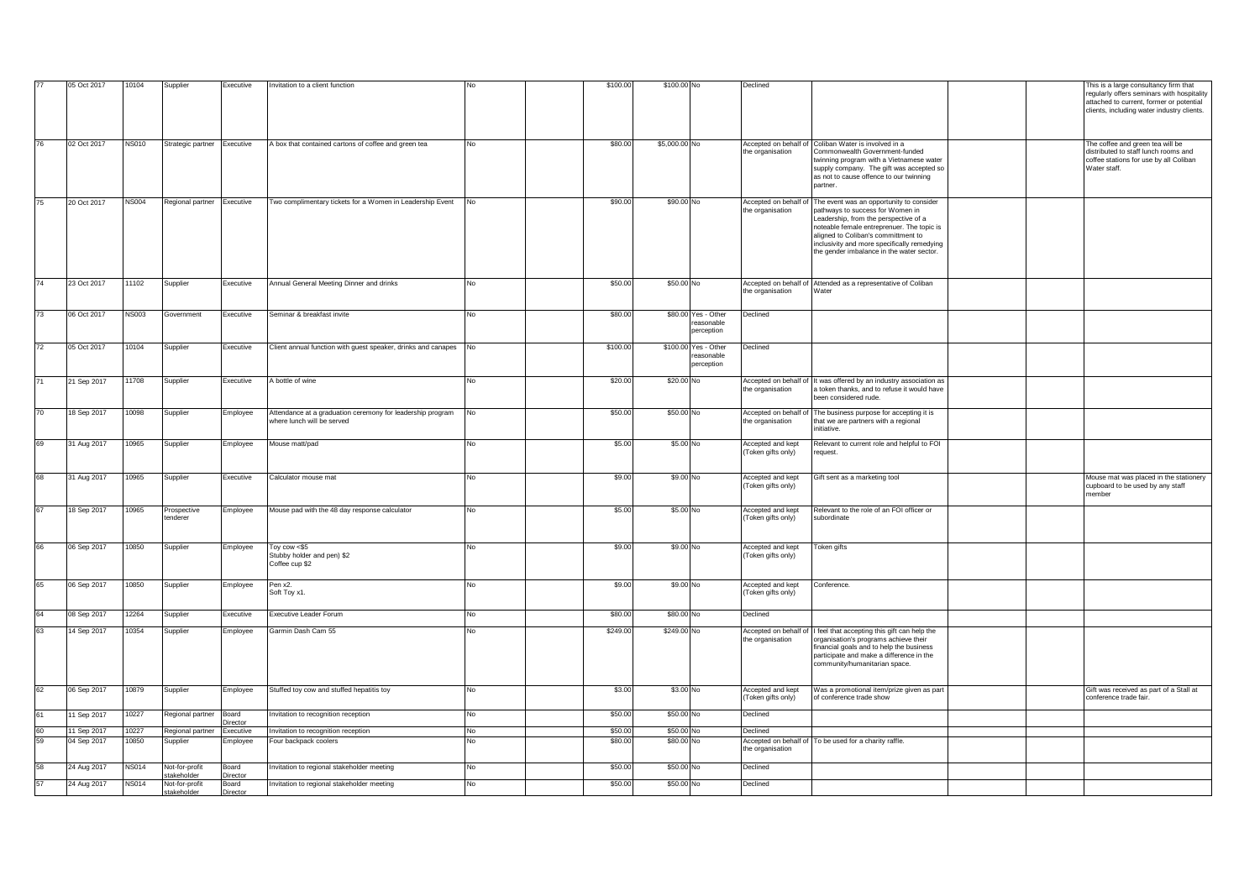|    | 05 Oct 2017 | 10104        | Supplier                     | Executive                | Invitation to a client function                                                          |                | \$100.00 | \$100.00 No   |                                    | Declined                                  |                                                                                                                                                                                                                                                            |  | This is a large consultancy firm that                                                                                              |
|----|-------------|--------------|------------------------------|--------------------------|------------------------------------------------------------------------------------------|----------------|----------|---------------|------------------------------------|-------------------------------------------|------------------------------------------------------------------------------------------------------------------------------------------------------------------------------------------------------------------------------------------------------------|--|------------------------------------------------------------------------------------------------------------------------------------|
|    |             |              |                              |                          |                                                                                          |                |          |               |                                    |                                           |                                                                                                                                                                                                                                                            |  | regularly offers seminars with hospitality<br>attached to current, former or potential                                             |
|    |             |              |                              |                          |                                                                                          |                |          |               |                                    |                                           |                                                                                                                                                                                                                                                            |  | clients, including water industry clients.                                                                                         |
|    |             |              |                              |                          |                                                                                          |                |          |               |                                    |                                           |                                                                                                                                                                                                                                                            |  |                                                                                                                                    |
| 76 | 02 Oct 2017 | <b>NS010</b> | Strategic partner Executive  |                          | A box that contained cartons of coffee and green tea                                     | No             | \$80.00  | \$5,000.00 No |                                    | the organisation                          | Accepted on behalf of Coliban Water is involved in a<br>Commonwealth Government-funded<br>twinning program with a Vietnamese water<br>supply company. The gift was accepted so<br>as not to cause offence to our twinning<br>partner.                      |  | The coffee and green tea will be<br>distributed to staff lunch rooms and<br>coffee stations for use by all Coliban<br>Water staff. |
| 75 | 20 Oct 2017 | <b>NS004</b> | Regional partner Executive   |                          | Two complimentary tickets for a Women in Leadership Event                                | <b>No</b>      | \$90.00  | \$90.00 No    |                                    |                                           | Accepted on behalf of The event was an opportunity to consider                                                                                                                                                                                             |  |                                                                                                                                    |
|    |             |              |                              |                          |                                                                                          |                |          |               |                                    | the organisation                          | pathways to success for Women in<br>Leadership, from the perspective of a<br>noteable female entreprenuer. The topic is<br>aligned to Coliban's committment to<br>inclusivity and more specifically remedying<br>the gender imbalance in the water sector. |  |                                                                                                                                    |
| 74 | 23 Oct 2017 | 11102        | Supplier                     | Executive                | Annual General Meeting Dinner and drinks                                                 | No             | \$50.00  | \$50.00 No    |                                    | the organisation                          | Accepted on behalf of Attended as a representative of Coliban<br>Water                                                                                                                                                                                     |  |                                                                                                                                    |
|    |             |              |                              |                          |                                                                                          |                |          |               |                                    |                                           |                                                                                                                                                                                                                                                            |  |                                                                                                                                    |
| 73 | 06 Oct 2017 | <b>NS003</b> | Government                   | Executive                | Seminar & breakfast invite                                                               | No             | \$80.00  |               | \$80.00 Yes - Other                | Declined                                  |                                                                                                                                                                                                                                                            |  |                                                                                                                                    |
|    |             |              |                              |                          |                                                                                          |                |          |               | reasonable<br>perception           |                                           |                                                                                                                                                                                                                                                            |  |                                                                                                                                    |
| 72 | 05 Oct 2017 | 10104        | Supplier                     | Executive                | Client annual function with guest speaker, drinks and canapes No                         |                | \$100.00 |               | \$100.00 Yes - Other<br>reasonable | Declined                                  |                                                                                                                                                                                                                                                            |  |                                                                                                                                    |
|    |             |              |                              |                          |                                                                                          |                |          |               | perception                         |                                           |                                                                                                                                                                                                                                                            |  |                                                                                                                                    |
| 71 | 21 Sep 2017 | 11708        | Supplier                     | Executive                | A bottle of wine                                                                         | No             | \$20.00  | \$20.00 No    |                                    | he organisation                           | Accepted on behalf of It was offered by an industry association as<br>a token thanks, and to refuse it would have<br>been considered rude.                                                                                                                 |  |                                                                                                                                    |
| 70 | 18 Sep 2017 | 10098        | Supplier                     | Employee                 | Attendance at a graduation ceremony for leadership program<br>where lunch will be served | No             | \$50.00  | \$50.00 No    |                                    | the organisation                          | Accepted on behalf of The business purpose for accepting it is<br>that we are partners with a regional<br>initiative.                                                                                                                                      |  |                                                                                                                                    |
| 69 | 31 Aug 2017 | 10965        | Supplier                     | Employee                 | Mouse matt/pad                                                                           | No             | \$5.00   | \$5.00 No     |                                    | Accepted and kept<br>Token gifts only)    | Relevant to current role and helpful to FOI<br>request.                                                                                                                                                                                                    |  |                                                                                                                                    |
| 68 | 31 Aug 2017 | 10965        | Supplier                     | Executive                | Calculator mouse mat                                                                     | No             | \$9.00   | \$9.00 No     |                                    | Accepted and kept<br>Token gifts only)    | Gift sent as a marketing tool                                                                                                                                                                                                                              |  | Mouse mat was placed in the stationery<br>cupboard to be used by any staff<br>member                                               |
| 67 | 18 Sep 2017 | 10965        | Prospective<br>enderer       | Employee                 | Mouse pad with the 48 day response calculator                                            | No             | \$5.00   | \$5.00 No     |                                    | Accepted and kept<br>Token gifts only)    | Relevant to the role of an FOI officer or<br>subordinate                                                                                                                                                                                                   |  |                                                                                                                                    |
| 66 | 06 Sep 2017 | 10850        | Supplier                     | Employee                 | Toy cow <\$5<br>Stubby holder and pen) \$2<br>Coffee cup \$2                             | No             | \$9.00   | \$9.00 No     |                                    | Accepted and kept<br>(Token gifts only)   | Token gifts                                                                                                                                                                                                                                                |  |                                                                                                                                    |
| 65 | 06 Sep 2017 | 10850        | Supplier                     | Employee                 |                                                                                          | N <sub>0</sub> | \$9.00   | \$9.00 No     |                                    | Accepted and kept                         | Conference.                                                                                                                                                                                                                                                |  |                                                                                                                                    |
|    |             |              |                              |                          | Pen x2.<br>Soft Toy x1.                                                                  |                |          |               |                                    | (Token gifts only)                        |                                                                                                                                                                                                                                                            |  |                                                                                                                                    |
| 64 | 08 Sep 2017 | 12264        | Supplier                     | Executive                | Executive Leader Forum                                                                   | No             | \$80.00  | \$80.00 No    |                                    | Declined                                  |                                                                                                                                                                                                                                                            |  |                                                                                                                                    |
| 63 | 14 Sep 2017 | 10354        | Supplier                     | Employee                 | Garmin Dash Cam 55                                                                       | No             | \$249.00 | \$249.00 No   |                                    | Accepted on behalf of<br>the organisation | feel that accepting this gift can help the<br>organisation's programs achieve their<br>financial goals and to help the business<br>participate and make a difference in the<br>community/humanitarian space.                                               |  |                                                                                                                                    |
| 62 | 06 Sep 2017 | 10879        | Supplier                     | Employee                 | Stuffed toy cow and stuffed hepatitis toy                                                | No             | \$3.00   | \$3.00 No     |                                    | Accepted and kept<br>Token gifts only)    | Was a promotional item/prize given as part<br>of conference trade show                                                                                                                                                                                     |  | Gift was received as part of a Stall at<br>conference trade fair.                                                                  |
| 61 | 11 Sep 2017 | 10227        | Regional partner             | Board<br><b>Director</b> | Invitation to recognition reception                                                      | No             | \$50.00  | \$50.00 No    |                                    | Declined                                  |                                                                                                                                                                                                                                                            |  |                                                                                                                                    |
| 60 | 11 Sep 2017 | 10227        | Regional partner Executive   |                          | Invitation to recognition reception                                                      | No.            | \$50.00  | \$50,00 No    |                                    | Declined                                  |                                                                                                                                                                                                                                                            |  |                                                                                                                                    |
| 59 | 04 Sep 2017 | 10850        | Supplier                     | Employee                 | Four backpack coolers                                                                    | N۵             | \$80.00  | \$80.00 No    |                                    | he organisation                           | Accepted on behalf of To be used for a charity raffle.                                                                                                                                                                                                     |  |                                                                                                                                    |
|    | 24 Aug 2017 | <b>NS014</b> | Not-for-profit               | Board                    | Invitation to regional stakeholder meeting                                               | No             | \$50.00  | \$50.00 No    |                                    | Declined                                  |                                                                                                                                                                                                                                                            |  |                                                                                                                                    |
| 57 | 24 Aug 2017 | <b>NS014</b> | takeholder<br>Not-for-profit | Director<br>Board        | Invitation to regional stakeholder meeting                                               | No             | \$50.00  | \$50.00 No    |                                    | Declined                                  |                                                                                                                                                                                                                                                            |  |                                                                                                                                    |
|    |             |              | stakeholder                  | Director                 |                                                                                          |                |          |               |                                    |                                           |                                                                                                                                                                                                                                                            |  |                                                                                                                                    |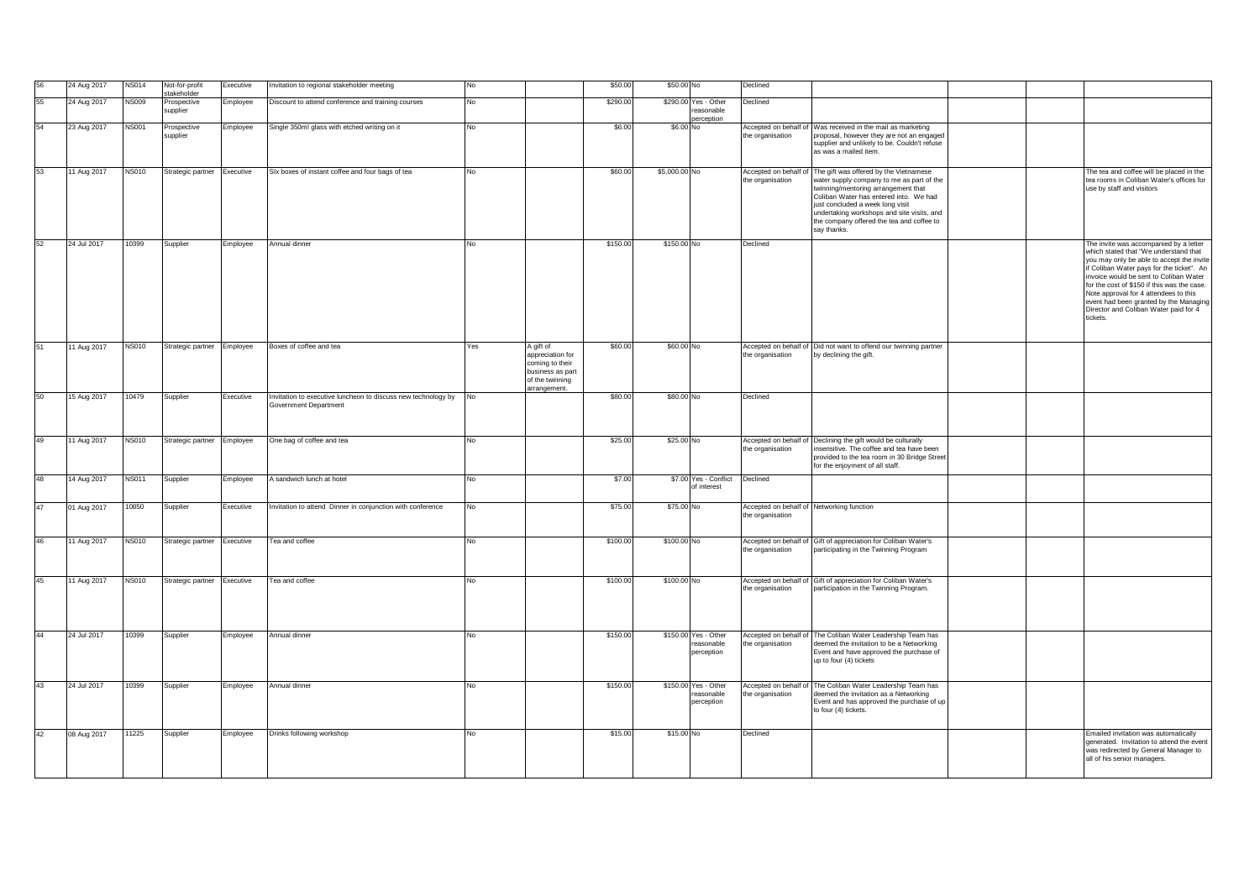|    | 24 Aug 2017 | <b>NS014</b> | Not-for-profit              | Executive        | Invitation to regional stakeholder meeting                                             | No  |                                                                                                         | \$50.00  | \$50.00 No    |                                                  | Declined         |                                                                                                                                                                                                                                                                                                                                          |  |                                                                                                                                                                                                                                                                                                                                                                                                            |
|----|-------------|--------------|-----------------------------|------------------|----------------------------------------------------------------------------------------|-----|---------------------------------------------------------------------------------------------------------|----------|---------------|--------------------------------------------------|------------------|------------------------------------------------------------------------------------------------------------------------------------------------------------------------------------------------------------------------------------------------------------------------------------------------------------------------------------------|--|------------------------------------------------------------------------------------------------------------------------------------------------------------------------------------------------------------------------------------------------------------------------------------------------------------------------------------------------------------------------------------------------------------|
| 55 | 24 Aug 2017 | <b>NS009</b> | stakeholder<br>Prospective  | Employee         | Discount to attend conference and training courses                                     | No  |                                                                                                         | \$290.00 |               | \$290.00 Yes - Other                             | Declined         |                                                                                                                                                                                                                                                                                                                                          |  |                                                                                                                                                                                                                                                                                                                                                                                                            |
|    |             |              | supplier                    |                  |                                                                                        |     |                                                                                                         |          |               | reasonable<br>erception                          |                  |                                                                                                                                                                                                                                                                                                                                          |  |                                                                                                                                                                                                                                                                                                                                                                                                            |
| 54 | 23 Aug 2017 | <b>NS001</b> | Prospective                 | Employee         | Single 350ml glass with etched writing on it                                           | No  |                                                                                                         | \$6.00   | \$6.00 No     |                                                  |                  | Accepted on behalf of Was received in the mail as marketing                                                                                                                                                                                                                                                                              |  |                                                                                                                                                                                                                                                                                                                                                                                                            |
|    |             |              | supplier                    |                  |                                                                                        |     |                                                                                                         |          |               |                                                  | the organisation | proposal, however they are not an engaged<br>supplier and unlikely to be. Couldn't refuse<br>as was a mailed item.                                                                                                                                                                                                                       |  |                                                                                                                                                                                                                                                                                                                                                                                                            |
| 53 | 11 Aug 2017 | <b>NS010</b> | Strategic partner           | Executive        | SIx boxes of instant coffee and four bags of tea                                       | No  |                                                                                                         | \$60.00  | \$5,000.00 No |                                                  | the organisation | Accepted on behalf of The gift was offered by the Vietnamese<br>water supply company to me as part of the<br>twinning/mentoring arrangement that<br>Coliban Water has entered into. We had<br>just concluded a week long visit<br>undertaking workshops and site visits, and<br>the company offered the tea and coffee to<br>say thanks. |  | he tea and coffee will be placed in the<br>tea rooms in Coliban Water's offices for<br>use by staff and visitors                                                                                                                                                                                                                                                                                           |
| 52 | 24 Jul 2017 | 10399        | Supplier                    | Employee         | Annual dinner                                                                          | No  |                                                                                                         | \$150.00 | \$150.00 No   |                                                  | Declined         |                                                                                                                                                                                                                                                                                                                                          |  | The invite was accompanied by a letter<br>which stated that "We understand that<br>you may only be able to accept the invite<br>if Coliban Water pays for the ticket". An<br>invoice would be sent to Coliban Water<br>for the cost of \$150 if this was the case.<br>Note approval for 4 attendees to this<br>event had been granted by the Managing<br>Director and Coliban Water paid for 4<br>tickets. |
| 51 | 11 Aug 2017 | <b>NS010</b> | Strategic partner Employee  |                  | Boxes of coffee and tea                                                                | Yes | A gift of<br>appreciation for<br>coming to their<br>business as part<br>of the twinning<br>arrangement. | \$60.00  | \$60.00 No    |                                                  | the organisation | Accepted on behalf of Did not want to offend our twinning partner<br>by declining the gift.                                                                                                                                                                                                                                              |  |                                                                                                                                                                                                                                                                                                                                                                                                            |
| 50 | 15 Aug 2017 | 10479        | Supplier                    | Executive        | Invitation to executive luncheon to discuss new technology by<br>Government Department | No  |                                                                                                         | \$80.00  | \$80.00 No    |                                                  | Declined         |                                                                                                                                                                                                                                                                                                                                          |  |                                                                                                                                                                                                                                                                                                                                                                                                            |
|    |             |              |                             |                  |                                                                                        |     |                                                                                                         |          |               |                                                  |                  |                                                                                                                                                                                                                                                                                                                                          |  |                                                                                                                                                                                                                                                                                                                                                                                                            |
| 49 | 11 Aug 2017 | <b>NS010</b> | Strategic partner Employee  |                  | One bag of coffee and tea                                                              | No  |                                                                                                         | \$25.00  | \$25.00 No    |                                                  | the organisation | Accepted on behalf of Declining the gift would be culturally<br>insensitive. The coffee and tea have been<br>provided to the tea room in 30 Bridge Street<br>for the enjoyment of all staff.                                                                                                                                             |  |                                                                                                                                                                                                                                                                                                                                                                                                            |
| 48 | 14 Aug 2017 | <b>NS011</b> | Supplier                    | Employee         | A sandwich lunch at hotel                                                              | No  |                                                                                                         | \$7.00   |               | \$7.00 Yes - Conflict<br>of interest             | Declined         |                                                                                                                                                                                                                                                                                                                                          |  |                                                                                                                                                                                                                                                                                                                                                                                                            |
| 47 | 01 Aug 2017 | 10850        | Supplier                    | <b>Executive</b> | Invitation to attend Dinner in conjunction with conference                             | No  |                                                                                                         | \$75.00  | \$75.00 No    |                                                  | the organisation | Accepted on behalf of Networking function                                                                                                                                                                                                                                                                                                |  |                                                                                                                                                                                                                                                                                                                                                                                                            |
| 46 | 11 Aug 2017 | <b>NS010</b> | Strategic partner           | Executive        | Tea and coffee                                                                         | No  |                                                                                                         | \$100.00 | \$100.00 No   |                                                  |                  | Accepted on behalf of Gift of appreciation for Coliban Water's                                                                                                                                                                                                                                                                           |  |                                                                                                                                                                                                                                                                                                                                                                                                            |
|    |             |              |                             |                  |                                                                                        |     |                                                                                                         |          |               |                                                  | the organisation | participating in the Twinning Program                                                                                                                                                                                                                                                                                                    |  |                                                                                                                                                                                                                                                                                                                                                                                                            |
| 45 | 11 Aug 2017 | <b>NS010</b> | Strategic partner Executive |                  | Tea and coffee                                                                         | No  |                                                                                                         | \$100.00 | \$100.00 No   |                                                  | the organisation | Accepted on behalf of Gift of appreciation for Coliban Water's<br>participation in the Twinning Program.                                                                                                                                                                                                                                 |  |                                                                                                                                                                                                                                                                                                                                                                                                            |
| 44 | 24 Jul 2017 | 10399        | Supplier                    | Employee         | Annual dinner                                                                          | No  |                                                                                                         | \$150.00 |               | \$150.00 Yes - Other<br>reasonable<br>perception | the organisation | Accepted on behalf of The Coliban Water Leadership Team has<br>deemed the invitation to be a Networking<br>Event and have approved the purchase of<br>up to four (4) tickets                                                                                                                                                             |  |                                                                                                                                                                                                                                                                                                                                                                                                            |
| 43 | 24 Jul 2017 | 10399        | Supplier                    | Employee         | Annual dinner                                                                          | No  |                                                                                                         | \$150.00 |               | \$150.00 Yes - Other<br>reasonable<br>perception | the organisation | Accepted on behalf of The Coliban Water Leadership Team has<br>deemed the invitation as a Networking<br>Event and has approved the purchase of up<br>to four (4) tickets.                                                                                                                                                                |  |                                                                                                                                                                                                                                                                                                                                                                                                            |
| 42 | 08 Aug 2017 | 11225        | Supplier                    | Employee         | Drinks following workshop                                                              | No  |                                                                                                         | \$15.00  | \$15.00 No    |                                                  | Declined         |                                                                                                                                                                                                                                                                                                                                          |  | Emailed invitation was automatically<br>generated. Invitation to attend the event<br>was redirected by General Manager to<br>all of his senior managers.                                                                                                                                                                                                                                                   |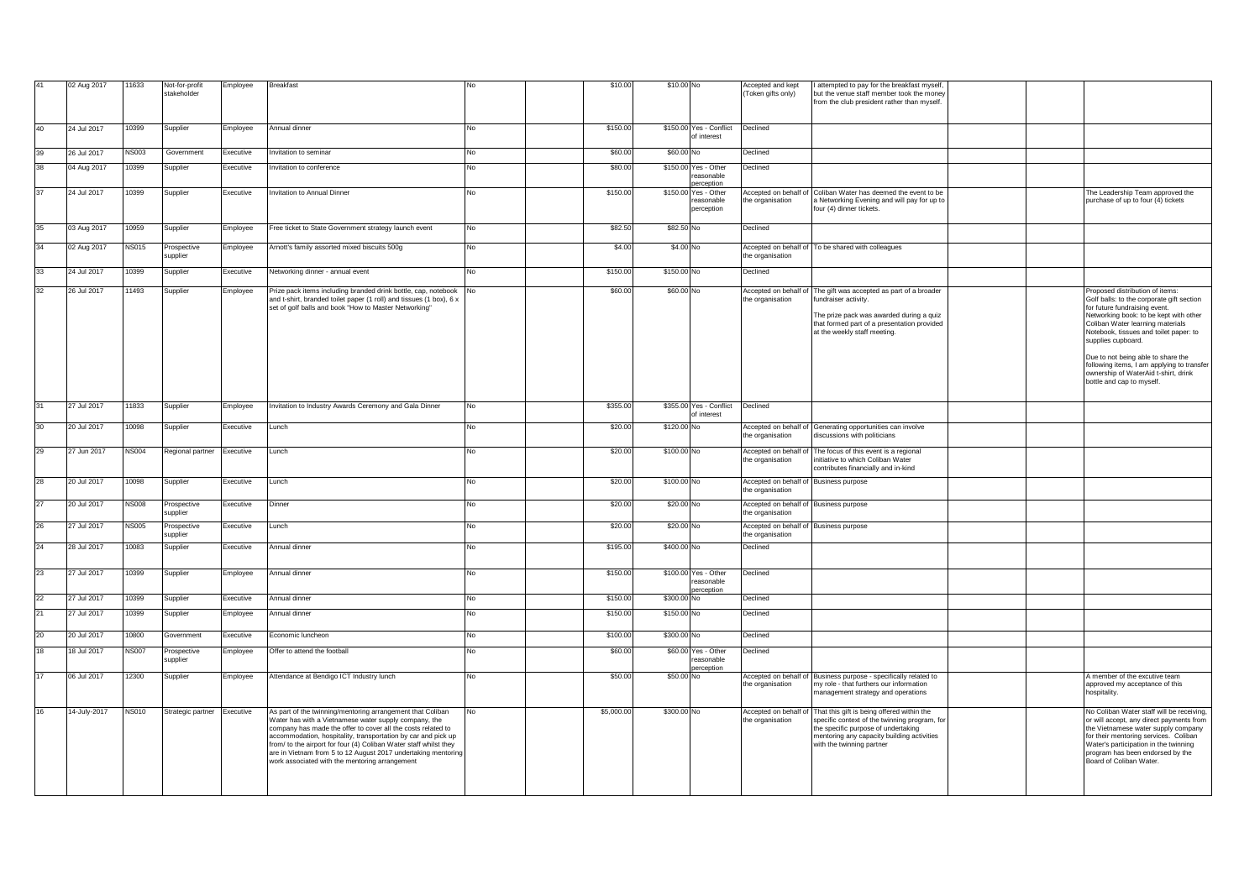| 41 | 02 Aug 2017  | 11633        | Not-for-profit<br>stakeholder | Employee  | <b>Breakfast</b>                                                                                                                                                                                                                                                                                                                                                                                                                             |     | \$10.00    | \$10.00 No  |                                                 | Accepted and kept<br>Token gifts only)                     | I attempted to pay for the breakfast myself,<br>but the venue staff member took the money<br>from the club president rather than myself.                                                                                            |  |                                                                                                                                                                                                                                                                                                                                                                                                                      |
|----|--------------|--------------|-------------------------------|-----------|----------------------------------------------------------------------------------------------------------------------------------------------------------------------------------------------------------------------------------------------------------------------------------------------------------------------------------------------------------------------------------------------------------------------------------------------|-----|------------|-------------|-------------------------------------------------|------------------------------------------------------------|-------------------------------------------------------------------------------------------------------------------------------------------------------------------------------------------------------------------------------------|--|----------------------------------------------------------------------------------------------------------------------------------------------------------------------------------------------------------------------------------------------------------------------------------------------------------------------------------------------------------------------------------------------------------------------|
| 40 | 24 Jul 2017  | 10399        | Supplier                      | Employee  | Annual dinner                                                                                                                                                                                                                                                                                                                                                                                                                                | No  | \$150.00   |             | \$150.00 Yes - Conflict<br>of interest          | Declined                                                   |                                                                                                                                                                                                                                     |  |                                                                                                                                                                                                                                                                                                                                                                                                                      |
| 39 | 26 Jul 2017  | <b>NS003</b> | Government                    | Executive | nvitation to seminar                                                                                                                                                                                                                                                                                                                                                                                                                         | No  | \$60.00    | \$60.00 No  |                                                 | Declined                                                   |                                                                                                                                                                                                                                     |  |                                                                                                                                                                                                                                                                                                                                                                                                                      |
| 38 | 04 Aug 2017  | 10399        | Supplier                      | Executive | witation to conference                                                                                                                                                                                                                                                                                                                                                                                                                       | No  | \$80.00    |             | \$150.00 Yes - Other<br>reasonable<br>erception | Declined                                                   |                                                                                                                                                                                                                                     |  |                                                                                                                                                                                                                                                                                                                                                                                                                      |
| 37 | 24 Jul 2017  | 10399        | Supplier                      | Executive | nvitation to Annual Dinner                                                                                                                                                                                                                                                                                                                                                                                                                   | No  | \$150.00   | \$150.00    | Yes - Other<br>reasonable<br>perception         | Accepted on behalf of<br>the organisation                  | Coliban Water has deemed the event to be<br>a Networking Evening and will pay for up to<br>four (4) dinner tickets.                                                                                                                 |  | The Leadership Team approved the<br>purchase of up to four (4) tickets                                                                                                                                                                                                                                                                                                                                               |
| 35 | 03 Aug 2017  | 10959        | Supplier                      | Employee  | Free ticket to State Government strategy launch event                                                                                                                                                                                                                                                                                                                                                                                        | No  | \$82.50    | \$82.50 No  |                                                 | Declined                                                   |                                                                                                                                                                                                                                     |  |                                                                                                                                                                                                                                                                                                                                                                                                                      |
| 34 | 02 Aug 2017  | <b>NS015</b> | Prospective<br>supplier       | Employee  | Arnott's family assorted mixed biscuits 500g                                                                                                                                                                                                                                                                                                                                                                                                 | No  | \$4.00     | \$4.00 No   |                                                 | the organisation                                           | Accepted on behalf of To be shared with colleagues                                                                                                                                                                                  |  |                                                                                                                                                                                                                                                                                                                                                                                                                      |
| 33 | 24 Jul 2017  | 10399        | Supplier                      | Executive | Networking dinner - annual event                                                                                                                                                                                                                                                                                                                                                                                                             | No. | \$150.00   | \$150.00 No |                                                 | Declined                                                   |                                                                                                                                                                                                                                     |  |                                                                                                                                                                                                                                                                                                                                                                                                                      |
| 32 | 26 Jul 2017  | 11493        | Supplier                      | Employee  | Prize pack items including branded drink bottle, cap, notebook<br>and t-shirt, branded toilet paper (1 roll) and tissues (1 box), 6 x<br>set of golf balls and book "How to Master Networking"                                                                                                                                                                                                                                               | No  | \$60.00    | \$60.00 No  |                                                 | the organisation                                           | Accepted on behalf of The gift was accepted as part of a broader<br>undraiser activity.<br>The prize pack was awarded during a quiz<br>that formed part of a presentation provided<br>at the weekly staff meeting.                  |  | Proposed distribution of items:<br>Golf balls: to the corporate gift section<br>for future fundraising event.<br>Networking book: to be kept with other<br>Coliban Water learning materials<br>Notebook, tissues and toilet paper: to<br>supplies cupboard.<br>Due to not being able to share the<br>following items, I am applying to transfer<br>ownership of WaterAid t-shirt, drink<br>bottle and cap to myself. |
| 31 | 27 Jul 2017  | 11833        | Supplier                      | Employee  | nvitation to Industry Awards Ceremony and Gala Dinner                                                                                                                                                                                                                                                                                                                                                                                        | No  | \$355.00   |             | \$355.00 Yes - Conflict<br>of interest          | Declined                                                   |                                                                                                                                                                                                                                     |  |                                                                                                                                                                                                                                                                                                                                                                                                                      |
| 30 | 20 Jul 2017  | 10098        | Supplier                      | Executive | Lunch                                                                                                                                                                                                                                                                                                                                                                                                                                        | No  | \$20.00    | \$120.00 No |                                                 | the organisation                                           | Accepted on behalf of Generating opportunities can involve<br>discussions with politicians                                                                                                                                          |  |                                                                                                                                                                                                                                                                                                                                                                                                                      |
| 29 | 27 Jun 2017  | <b>NS004</b> | Regional partner              | Executive | Lunch                                                                                                                                                                                                                                                                                                                                                                                                                                        | No  | \$20.00    | \$100.00 No |                                                 | he organisation                                            | Accepted on behalf of The focus of this event is a regional<br>initiative to which Coliban Water<br>contributes financially and in-kind                                                                                             |  |                                                                                                                                                                                                                                                                                                                                                                                                                      |
| 28 | 20 Jul 2017  | 10098        | Supplier                      | Executive | Lunch                                                                                                                                                                                                                                                                                                                                                                                                                                        | No  | \$20.00    | \$100.00 No |                                                 | Accepted on behalf of Business purpose<br>he organisation  |                                                                                                                                                                                                                                     |  |                                                                                                                                                                                                                                                                                                                                                                                                                      |
| 27 | 20 Jul 2017  | <b>NS008</b> | Prospective<br>supplier       | Executive | Dinner                                                                                                                                                                                                                                                                                                                                                                                                                                       | No  | \$20.00    | \$20.00 No  |                                                 | Accepted on behalf of Business purpose<br>the organisation |                                                                                                                                                                                                                                     |  |                                                                                                                                                                                                                                                                                                                                                                                                                      |
| 26 | 27 Jul 2017  | <b>NS005</b> | Prospective<br>supplier       | Executive | Lunch                                                                                                                                                                                                                                                                                                                                                                                                                                        | No  | \$20.00    | \$20.00 No  |                                                 | Accepted on behalf of Business purpose<br>the organisation |                                                                                                                                                                                                                                     |  |                                                                                                                                                                                                                                                                                                                                                                                                                      |
| 24 | 28 Jul 2017  | 10083        | Supplier                      | Executive | Annual dinner                                                                                                                                                                                                                                                                                                                                                                                                                                | No  | \$195.00   | \$400.00 No |                                                 | Declined                                                   |                                                                                                                                                                                                                                     |  |                                                                                                                                                                                                                                                                                                                                                                                                                      |
| 23 | 27 Jul 2017  | 10399        | Supplier                      | Employee  | Annual dinner                                                                                                                                                                                                                                                                                                                                                                                                                                | No  | \$150.00   |             | \$100.00 Yes - Other<br>reasonable<br>erception | Declined                                                   |                                                                                                                                                                                                                                     |  |                                                                                                                                                                                                                                                                                                                                                                                                                      |
| 22 | 27 Jul 2017  | 10399        | Supplier                      | Executive | Annual dinner                                                                                                                                                                                                                                                                                                                                                                                                                                | No  | \$150.00   | \$300.00    | Nο                                              | Declined                                                   |                                                                                                                                                                                                                                     |  |                                                                                                                                                                                                                                                                                                                                                                                                                      |
|    | 27 Jul 2017  | 10399        | Supplier                      | Employee  | Annual dinner                                                                                                                                                                                                                                                                                                                                                                                                                                | No  | \$150.00   | \$150.00 No |                                                 | Declined                                                   |                                                                                                                                                                                                                                     |  |                                                                                                                                                                                                                                                                                                                                                                                                                      |
| 20 | 20 Jul 2017  | 10800        | Government                    | Executive | Economic luncheon                                                                                                                                                                                                                                                                                                                                                                                                                            | No  | \$100.00   | \$300.00 No |                                                 | Declined                                                   |                                                                                                                                                                                                                                     |  |                                                                                                                                                                                                                                                                                                                                                                                                                      |
| 18 | 18 Jul 2017  | <b>NS007</b> | Prospective<br>supplier       | Employee  | Offer to attend the football                                                                                                                                                                                                                                                                                                                                                                                                                 | No  | \$60.00    | \$60.00     | Yes - Other<br>easonable                        | Declined                                                   |                                                                                                                                                                                                                                     |  |                                                                                                                                                                                                                                                                                                                                                                                                                      |
| 17 | 06 Jul 2017  | 12300        | Supplier                      | Employee  | Attendance at Bendigo ICT Industry lunch                                                                                                                                                                                                                                                                                                                                                                                                     | No  | \$50.00    | \$50.00 No  | erception                                       | Accepted on behalf of<br>the organisation                  | Business purpose - specifically related to<br>my role - that furthers our information<br>anagement strategy and operations                                                                                                          |  | A member of the excutive team<br>approved my acceptance of this<br>hospitality.                                                                                                                                                                                                                                                                                                                                      |
| 16 | 14-July-2017 | <b>NS010</b> | Strategic partner Executive   |           | As part of the twinning/mentoring arrangement that Coliban<br>Water has with a Vietnamese water supply company, the<br>company has made the offer to cover all the costs related to<br>accommodation, hospitality, transportation by car and pick up<br>from/ to the airport for four (4) Coliban Water staff whilst they<br>are in Vietnam from 5 to 12 August 2017 undertaking mentoring<br>work associated with the mentoring arrangement | No  | \$5,000.00 | \$300.00 No |                                                 | the organisation                                           | Accepted on behalf of That this gift is being offered within the<br>specific context of the twinning program, for<br>the specific purpose of undertaking<br>nentoring any capacity building activities<br>with the twinning partner |  | No Coliban Water staff will be receiving,<br>or will accept, any direct payments from<br>the Vietnamese water supply company<br>for their mentoring services. Coliban<br>Water's participation in the twinning<br>program has been endorsed by the<br>Board of Coliban Water.                                                                                                                                        |